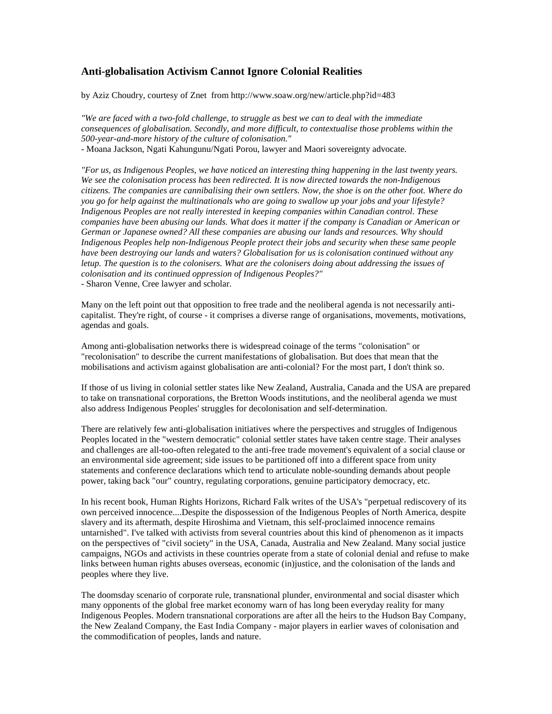## **Anti-globalisation Activism Cannot Ignore Colonial Realities**

by Aziz Choudry, courtesy of Znet from http://www.soaw.org/new/article.php?id=483

*"We are faced with a two-fold challenge, to struggle as best we can to deal with the immediate consequences of globalisation. Secondly, and more difficult, to contextualise those problems within the 500-year-and-more history of the culture of colonisation."* - Moana Jackson, Ngati Kahungunu/Ngati Porou, lawyer and Maori sovereignty advocate.

*"For us, as Indigenous Peoples, we have noticed an interesting thing happening in the last twenty years. We see the colonisation process has been redirected. It is now directed towards the non-Indigenous citizens. The companies are cannibalising their own settlers. Now, the shoe is on the other foot. Where do you go for help against the multinationals who are going to swallow up your jobs and your lifestyle? Indigenous Peoples are not really interested in keeping companies within Canadian control. These companies have been abusing our lands. What does it matter if the company is Canadian or American or German or Japanese owned? All these companies are abusing our lands and resources. Why should Indigenous Peoples help non-Indigenous People protect their jobs and security when these same people have been destroying our lands and waters? Globalisation for us is colonisation continued without any letup. The question is to the colonisers. What are the colonisers doing about addressing the issues of colonisation and its continued oppression of Indigenous Peoples?"* - Sharon Venne, Cree lawyer and scholar.

Many on the left point out that opposition to free trade and the neoliberal agenda is not necessarily anticapitalist. They're right, of course - it comprises a diverse range of organisations, movements, motivations, agendas and goals.

Among anti-globalisation networks there is widespread coinage of the terms "colonisation" or "recolonisation" to describe the current manifestations of globalisation. But does that mean that the mobilisations and activism against globalisation are anti-colonial? For the most part, I don't think so.

If those of us living in colonial settler states like New Zealand, Australia, Canada and the USA are prepared to take on transnational corporations, the Bretton Woods institutions, and the neoliberal agenda we must also address Indigenous Peoples' struggles for decolonisation and self-determination.

There are relatively few anti-globalisation initiatives where the perspectives and struggles of Indigenous Peoples located in the "western democratic" colonial settler states have taken centre stage. Their analyses and challenges are all-too-often relegated to the anti-free trade movement's equivalent of a social clause or an environmental side agreement; side issues to be partitioned off into a different space from unity statements and conference declarations which tend to articulate noble-sounding demands about people power, taking back "our" country, regulating corporations, genuine participatory democracy, etc.

In his recent book, Human Rights Horizons, Richard Falk writes of the USA's "perpetual rediscovery of its own perceived innocence....Despite the dispossession of the Indigenous Peoples of North America, despite slavery and its aftermath, despite Hiroshima and Vietnam, this self-proclaimed innocence remains untarnished". I've talked with activists from several countries about this kind of phenomenon as it impacts on the perspectives of "civil society" in the USA, Canada, Australia and New Zealand. Many social justice campaigns, NGOs and activists in these countries operate from a state of colonial denial and refuse to make links between human rights abuses overseas, economic (in)justice, and the colonisation of the lands and peoples where they live.

The doomsday scenario of corporate rule, transnational plunder, environmental and social disaster which many opponents of the global free market economy warn of has long been everyday reality for many Indigenous Peoples. Modern transnational corporations are after all the heirs to the Hudson Bay Company, the New Zealand Company, the East India Company - major players in earlier waves of colonisation and the commodification of peoples, lands and nature.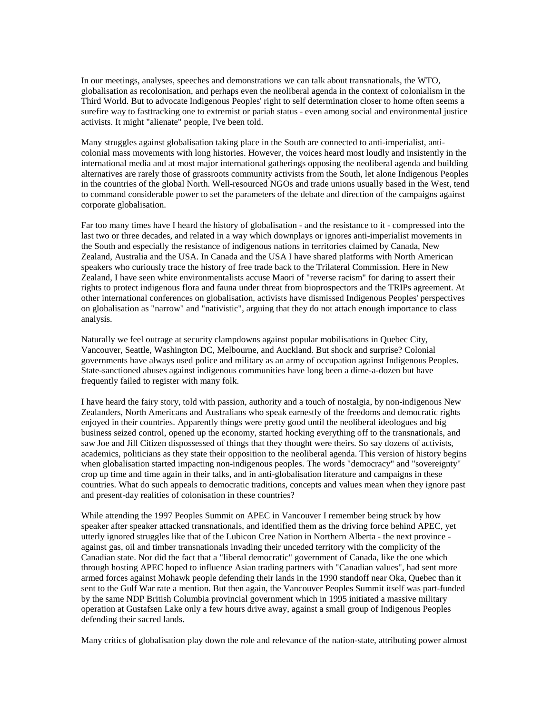In our meetings, analyses, speeches and demonstrations we can talk about transnationals, the WTO, globalisation as recolonisation, and perhaps even the neoliberal agenda in the context of colonialism in the Third World. But to advocate Indigenous Peoples' right to self determination closer to home often seems a surefire way to fasttracking one to extremist or pariah status - even among social and environmental justice activists. It might "alienate" people, I've been told.

Many struggles against globalisation taking place in the South are connected to anti-imperialist, anticolonial mass movements with long histories. However, the voices heard most loudly and insistently in the international media and at most major international gatherings opposing the neoliberal agenda and building alternatives are rarely those of grassroots community activists from the South, let alone Indigenous Peoples in the countries of the global North. Well-resourced NGOs and trade unions usually based in the West, tend to command considerable power to set the parameters of the debate and direction of the campaigns against corporate globalisation.

Far too many times have I heard the history of globalisation - and the resistance to it - compressed into the last two or three decades, and related in a way which downplays or ignores anti-imperialist movements in the South and especially the resistance of indigenous nations in territories claimed by Canada, New Zealand, Australia and the USA. In Canada and the USA I have shared platforms with North American speakers who curiously trace the history of free trade back to the Trilateral Commission. Here in New Zealand, I have seen white environmentalists accuse Maori of "reverse racism" for daring to assert their rights to protect indigenous flora and fauna under threat from bioprospectors and the TRIPs agreement. At other international conferences on globalisation, activists have dismissed Indigenous Peoples' perspectives on globalisation as "narrow" and "nativistic", arguing that they do not attach enough importance to class analysis.

Naturally we feel outrage at security clampdowns against popular mobilisations in Quebec City, Vancouver, Seattle, Washington DC, Melbourne, and Auckland. But shock and surprise? Colonial governments have always used police and military as an army of occupation against Indigenous Peoples. State-sanctioned abuses against indigenous communities have long been a dime-a-dozen but have frequently failed to register with many folk.

I have heard the fairy story, told with passion, authority and a touch of nostalgia, by non-indigenous New Zealanders, North Americans and Australians who speak earnestly of the freedoms and democratic rights enjoyed in their countries. Apparently things were pretty good until the neoliberal ideologues and big business seized control, opened up the economy, started hocking everything off to the transnationals, and saw Joe and Jill Citizen dispossessed of things that they thought were theirs. So say dozens of activists, academics, politicians as they state their opposition to the neoliberal agenda. This version of history begins when globalisation started impacting non-indigenous peoples. The words "democracy" and "sovereignty" crop up time and time again in their talks, and in anti-globalisation literature and campaigns in these countries. What do such appeals to democratic traditions, concepts and values mean when they ignore past and present-day realities of colonisation in these countries?

While attending the 1997 Peoples Summit on APEC in Vancouver I remember being struck by how speaker after speaker attacked transnationals, and identified them as the driving force behind APEC, yet utterly ignored struggles like that of the Lubicon Cree Nation in Northern Alberta - the next province against gas, oil and timber transnationals invading their unceded territory with the complicity of the Canadian state. Nor did the fact that a "liberal democratic" government of Canada, like the one which through hosting APEC hoped to influence Asian trading partners with "Canadian values", had sent more armed forces against Mohawk people defending their lands in the 1990 standoff near Oka, Quebec than it sent to the Gulf War rate a mention. But then again, the Vancouver Peoples Summit itself was part-funded by the same NDP British Columbia provincial government which in 1995 initiated a massive military operation at Gustafsen Lake only a few hours drive away, against a small group of Indigenous Peoples defending their sacred lands.

Many critics of globalisation play down the role and relevance of the nation-state, attributing power almost